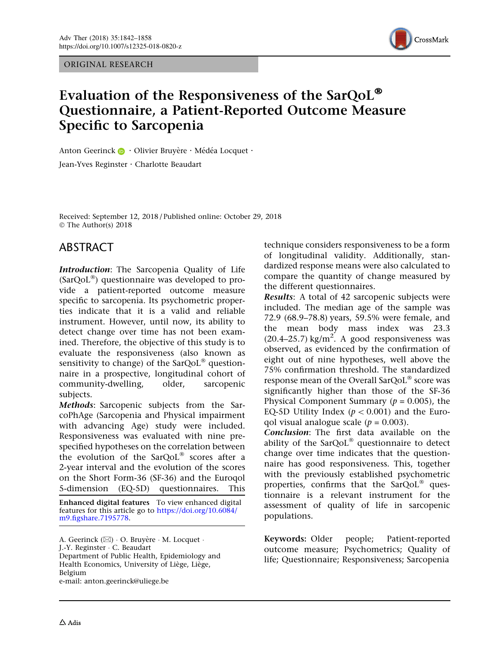ORIGINAL RESEARCH



# Evaluation of the Responsiveness of the SarQoL® Questionnaire, a Patient-Reported Outcome Measure Specific to Sarcopenia

Anton Geerinck **D** · Olivier Bruyère · Médéa Locquet · Jean-Yves Reginster · Charlotte Beaudart

Received: September 12, 2018 / Published online: October 29, 2018  $\circ$  The Author(s) 2018

# ABSTRACT

Introduction: The Sarcopenia Quality of Life  $(SarQoL^{\circledast})$  questionnaire was developed to provide a patient-reported outcome measure specific to sarcopenia. Its psychometric properties indicate that it is a valid and reliable instrument. However, until now, its ability to detect change over time has not been examined. Therefore, the objective of this study is to evaluate the responsiveness (also known as sensitivity to change) of the  $SarQoL^{\circledast}$  questionnaire in a prospective, longitudinal cohort of community-dwelling, older, sarcopenic subjects.

Methods: Sarcopenic subjects from the SarcoPhAge (Sarcopenia and Physical impairment with advancing Age) study were included. Responsiveness was evaluated with nine prespecified hypotheses on the correlation between the evolution of the  $SarQoL^{\circledast}$  scores after a 2-year interval and the evolution of the scores on the Short Form-36 (SF-36) and the Euroqol 5-dimension (EQ-5D) questionnaires. This

Enhanced digital features To view enhanced digital features for this article go to [https://doi.org/10.6084/](http://dx.doi.org/10.6084/m9.figshare.7195778) [m9.figshare.7195778.](http://dx.doi.org/10.6084/m9.figshare.7195778)

A. Geerinck ( $\boxtimes$ ) · O. Bruyère · M. Locquet · J.-Y. Reginster - C. Beaudart Department of Public Health, Epidemiology and Health Economics, University of Liège, Liège, Belgium e-mail: anton.geerinck@uliege.be

technique considers responsiveness to be a form of longitudinal validity. Additionally, standardized response means were also calculated to compare the quantity of change measured by the different questionnaires.

Results: A total of 42 sarcopenic subjects were included. The median age of the sample was 72.9 (68.9–78.8) years, 59.5% were female, and the mean body mass index was 23.3  $(20.4-25.7)$  kg/m<sup>2</sup>. A good responsiveness was observed, as evidenced by the confirmation of eight out of nine hypotheses, well above the 75% confirmation threshold. The standardized response mean of the Overall SarQo $L^{\circledast}$  score was significantly higher than those of the SF-36 Physical Component Summary ( $p = 0.005$ ), the EQ-5D Utility Index ( $p < 0.001$ ) and the Euroqol visual analogue scale ( $p = 0.003$ ).

Conclusion: The first data available on the ability of the SarQoL® questionnaire to detect change over time indicates that the questionnaire has good responsiveness. This, together with the previously established psychometric properties, confirms that the  $SarQoL^{\circledast}$  questionnaire is a relevant instrument for the assessment of quality of life in sarcopenic populations.

Keywords: Older people; Patient-reported outcome measure; Psychometrics; Quality of life; Questionnaire; Responsiveness; Sarcopenia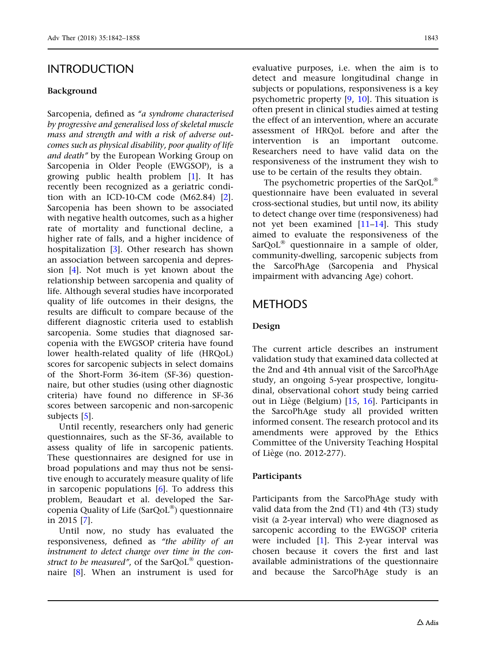# INTRODUCTION

#### Background

Sarcopenia, defined as "a syndrome characterised by progressive and generalised loss of skeletal muscle mass and strength and with a risk of adverse outcomes such as physical disability, poor quality of life and death'' by the European Working Group on Sarcopenia in Older People (EWGSOP), is a growing public health problem [\[1](#page-15-0)]. It has recently been recognized as a geriatric condition with an ICD-10-CM code (M62.84) [\[2\]](#page-15-0). Sarcopenia has been shown to be associated with negative health outcomes, such as a higher rate of mortality and functional decline, a higher rate of falls, and a higher incidence of hospitalization [[3\]](#page-15-0). Other research has shown an association between sarcopenia and depression [[4](#page-15-0)]. Not much is yet known about the relationship between sarcopenia and quality of life. Although several studies have incorporated quality of life outcomes in their designs, the results are difficult to compare because of the different diagnostic criteria used to establish sarcopenia. Some studies that diagnosed sarcopenia with the EWGSOP criteria have found lower health-related quality of life (HRQoL) scores for sarcopenic subjects in select domains of the Short-Form 36-item (SF-36) questionnaire, but other studies (using other diagnostic criteria) have found no difference in SF-36 scores between sarcopenic and non-sarcopenic subjects [\[5\]](#page-15-0).

Until recently, researchers only had generic questionnaires, such as the SF-36, available to assess quality of life in sarcopenic patients. These questionnaires are designed for use in broad populations and may thus not be sensitive enough to accurately measure quality of life in sarcopenic populations [\[6\]](#page-15-0). To address this problem, Beaudart et al. developed the Sarcopenia Quality of Life ( $SarQoL^{\circledast}$ ) questionnaire in 2015 [\[7\]](#page-15-0).

Until now, no study has evaluated the responsiveness, defined as "the ability of an instrument to detect change over time in the construct to be measured", of the  $SarQoL^{\circledast}$  questionnaire [[8](#page-15-0)]. When an instrument is used for evaluative purposes, i.e. when the aim is to detect and measure longitudinal change in subjects or populations, responsiveness is a key psychometric property [\[9](#page-15-0), [10\]](#page-15-0). This situation is often present in clinical studies aimed at testing the effect of an intervention, where an accurate assessment of HRQoL before and after the intervention is an important outcome. Researchers need to have valid data on the responsiveness of the instrument they wish to use to be certain of the results they obtain.

The psychometric properties of the SarQoL<sup>®</sup> questionnaire have been evaluated in several cross-sectional studies, but until now, its ability to detect change over time (responsiveness) had not yet been examined [\[11–14](#page-15-0)]. This study aimed to evaluate the responsiveness of the  $SarQoL<sup>®</sup>$  questionnaire in a sample of older, community-dwelling, sarcopenic subjects from the SarcoPhAge (Sarcopenia and Physical impairment with advancing Age) cohort.

## METHODS

#### Design

The current article describes an instrument validation study that examined data collected at the 2nd and 4th annual visit of the SarcoPhAge study, an ongoing 5-year prospective, longitudinal, observational cohort study being carried out in Liège (Belgium)  $[15, 16]$  $[15, 16]$  $[15, 16]$  $[15, 16]$ . Participants in the SarcoPhAge study all provided written informed consent. The research protocol and its amendments were approved by the Ethics Committee of the University Teaching Hospital of Liège (no. 2012-277).

#### **Participants**

Participants from the SarcoPhAge study with valid data from the 2nd (T1) and 4th (T3) study visit (a 2-year interval) who were diagnosed as sarcopenic according to the EWGSOP criteria were included [\[1\]](#page-15-0). This 2-year interval was chosen because it covers the first and last available administrations of the questionnaire and because the SarcoPhAge study is an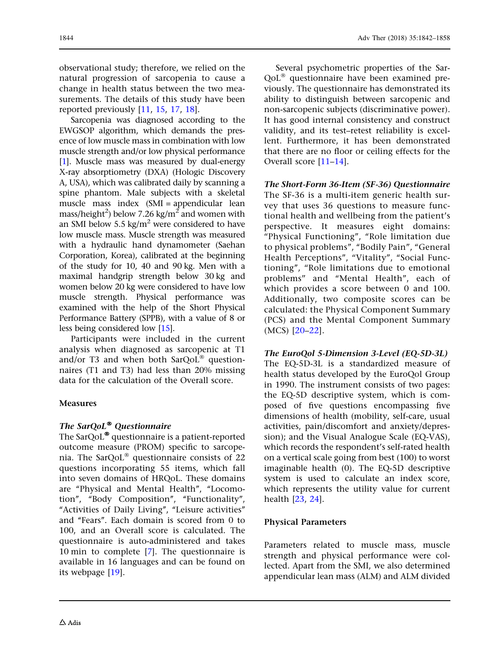observational study; therefore, we relied on the natural progression of sarcopenia to cause a change in health status between the two measurements. The details of this study have been reported previously [\[11,](#page-15-0) [15,](#page-16-0) [17](#page-16-0), [18\]](#page-16-0).

Sarcopenia was diagnosed according to the EWGSOP algorithm, which demands the presence of low muscle mass in combination with low muscle strength and/or low physical performance [\[1\]](#page-15-0). Muscle mass was measured by dual-energy X-ray absorptiometry (DXA) (Hologic Discovery A, USA), which was calibrated daily by scanning a spine phantom. Male subjects with a skeletal muscle mass index (SMI = appendicular lean mass/height<sup>2</sup>) below 7.26 kg/m<sup>2</sup> and women with an SMI below 5.5 kg/ $m^2$  were considered to have low muscle mass. Muscle strength was measured with a hydraulic hand dynamometer (Saehan Corporation, Korea), calibrated at the beginning of the study for 10, 40 and 90 kg. Men with a maximal handgrip strength below 30 kg and women below 20 kg were considered to have low muscle strength. Physical performance was examined with the help of the Short Physical Performance Battery (SPPB), with a value of 8 or less being considered low [\[15](#page-16-0)].

Participants were included in the current analysis when diagnosed as sarcopenic at T1 and/or T3 and when both  $SarQoL^{\circledast}$  questionnaires (T1 and T3) had less than 20% missing data for the calculation of the Overall score.

### **Measures**

### The SarQoL® Questionnaire

The SarQoL $^\circledast$  questionnaire is a patient-reported outcome measure (PROM) specific to sarcopenia. The SarQoL<sup>®</sup> questionnaire consists of 22 questions incorporating 55 items, which fall into seven domains of HRQoL. These domains are ''Physical and Mental Health'', ''Locomotion'', ''Body Composition'', ''Functionality'', ''Activities of Daily Living'', ''Leisure activities'' and ''Fears''. Each domain is scored from 0 to 100, and an Overall score is calculated. The questionnaire is auto-administered and takes 10 min to complete [\[7\]](#page-15-0). The questionnaire is available in 16 languages and can be found on its webpage [\[19](#page-16-0)].

Several psychometric properties of the Sar- $QoL<sup>®</sup>$  questionnaire have been examined previously. The questionnaire has demonstrated its ability to distinguish between sarcopenic and non-sarcopenic subjects (discriminative power). It has good internal consistency and construct validity, and its test–retest reliability is excellent. Furthermore, it has been demonstrated that there are no floor or ceiling effects for the Overall score [[11–14](#page-15-0)].

The Short-Form 36-Item (SF-36) Questionnaire The SF-36 is a multi-item generic health survey that uses 36 questions to measure functional health and wellbeing from the patient's perspective. It measures eight domains: ''Physical Functioning'', ''Role limitation due to physical problems", "Bodily Pain", "General Health Perceptions", "Vitality", "Social Functioning'', ''Role limitations due to emotional problems'' and ''Mental Health'', each of which provides a score between 0 and 100. Additionally, two composite scores can be calculated: the Physical Component Summary (PCS) and the Mental Component Summary (MCS) [[20–22\]](#page-16-0).

The EuroQol 5-Dimension 3-Level (EQ-5D-3L) The EQ-5D-3L is a standardized measure of health status developed by the EuroQol Group in 1990. The instrument consists of two pages: the EQ-5D descriptive system, which is composed of five questions encompassing five dimensions of health (mobility, self-care, usual activities, pain/discomfort and anxiety/depression); and the Visual Analogue Scale (EQ-VAS), which records the respondent's self-rated health on a vertical scale going from best (100) to worst imaginable health (0). The EQ-5D descriptive system is used to calculate an index score, which represents the utility value for current health [[23](#page-16-0), [24\]](#page-16-0).

### Physical Parameters

Parameters related to muscle mass, muscle strength and physical performance were collected. Apart from the SMI, we also determined appendicular lean mass (ALM) and ALM divided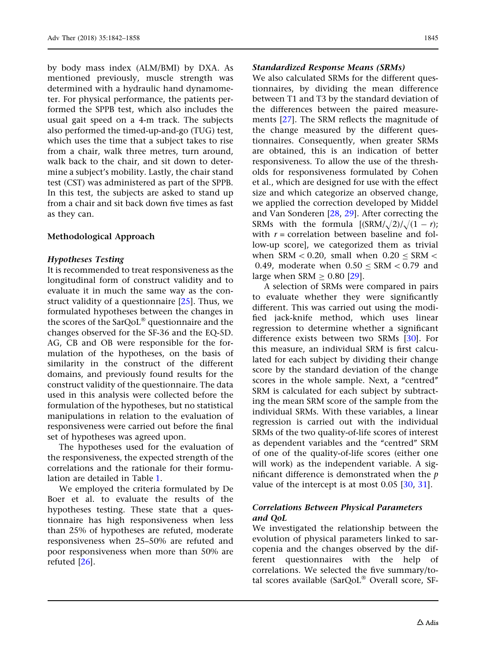by body mass index (ALM/BMI) by DXA. As mentioned previously, muscle strength was determined with a hydraulic hand dynamometer. For physical performance, the patients performed the SPPB test, which also includes the usual gait speed on a 4-m track. The subjects also performed the timed-up-and-go (TUG) test, which uses the time that a subject takes to rise from a chair, walk three metres, turn around, walk back to the chair, and sit down to determine a subject's mobility. Lastly, the chair stand test (CST) was administered as part of the SPPB. In this test, the subjects are asked to stand up from a chair and sit back down five times as fast as they can.

#### Methodological Approach

#### Hypotheses Testing

It is recommended to treat responsiveness as the longitudinal form of construct validity and to evaluate it in much the same way as the construct validity of a questionnaire  $[25]$ . Thus, we formulated hypotheses between the changes in the scores of the SarQoL® questionnaire and the changes observed for the SF-36 and the EQ-5D. AG, CB and OB were responsible for the formulation of the hypotheses, on the basis of similarity in the construct of the different domains, and previously found results for the construct validity of the questionnaire. The data used in this analysis were collected before the formulation of the hypotheses, but no statistical manipulations in relation to the evaluation of responsiveness were carried out before the final set of hypotheses was agreed upon.

The hypotheses used for the evaluation of the responsiveness, the expected strength of the correlations and the rationale for their formulation are detailed in Table [1.](#page-4-0)

We employed the criteria formulated by De Boer et al. to evaluate the results of the hypotheses testing. These state that a questionnaire has high responsiveness when less than 25% of hypotheses are refuted, moderate responsiveness when 25–50% are refuted and poor responsiveness when more than 50% are refuted [\[26\]](#page-16-0).

#### Standardized Response Means (SRMs)

We also calculated SRMs for the different questionnaires, by dividing the mean difference between T1 and T3 by the standard deviation of the differences between the paired measurements [[27](#page-16-0)]. The SRM reflects the magnitude of the change measured by the different questionnaires. Consequently, when greater SRMs are obtained, this is an indication of better responsiveness. To allow the use of the thresholds for responsiveness formulated by Cohen et al., which are designed for use with the effect size and which categorize an observed change, we applied the correction developed by Middel and Van Sonderen [[28](#page-16-0), [29\]](#page-16-0). After correcting the SRMs with the formula  $[(SRM/\sqrt{2})/\sqrt{(1 - r)}$ ; with  $r =$  correlation between baseline and follow-up score], we categorized them as trivial when SRM  $< 0.20$ , small when  $0.20 <$  SRM  $<$ 0.49, moderate when  $0.50 \leq \text{SRM} \leq 0.79$  and large when  $SRM > 0.80$  [[29](#page-16-0)].

A selection of SRMs were compared in pairs to evaluate whether they were significantly different. This was carried out using the modified jack-knife method, which uses linear regression to determine whether a significant difference exists between two SRMs [\[30\]](#page-16-0). For this measure, an individual SRM is first calculated for each subject by dividing their change score by the standard deviation of the change scores in the whole sample. Next, a "centred" SRM is calculated for each subject by subtracting the mean SRM score of the sample from the individual SRMs. With these variables, a linear regression is carried out with the individual SRMs of the two quality-of-life scores of interest as dependent variables and the "centred" SRM of one of the quality-of-life scores (either one will work) as the independent variable. A significant difference is demonstrated when the  $p$ value of the intercept is at most 0.05 [\[30,](#page-16-0) [31\]](#page-16-0).

#### Correlations Between Physical Parameters and QoL

We investigated the relationship between the evolution of physical parameters linked to sarcopenia and the changes observed by the different questionnaires with the help of correlations. We selected the five summary/total scores available (SarQoL® Overall score, SF-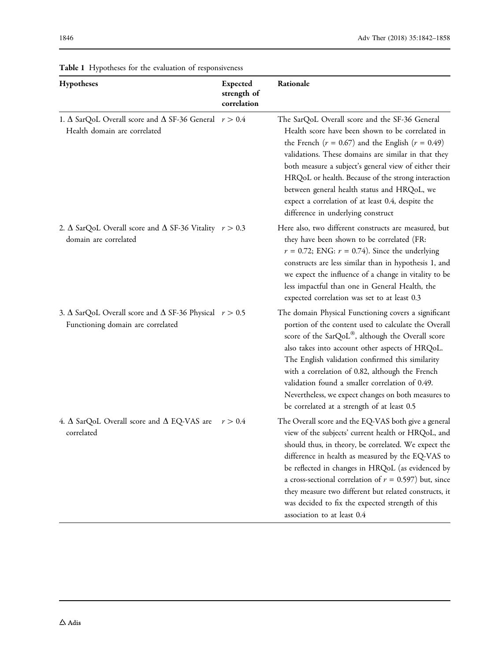| Hypotheses                                                                                                  | <b>Expected</b><br>strength of<br>correlation | Rationale                                                                                                                                                                                                                                                                                                                                                                                                                                                                             |
|-------------------------------------------------------------------------------------------------------------|-----------------------------------------------|---------------------------------------------------------------------------------------------------------------------------------------------------------------------------------------------------------------------------------------------------------------------------------------------------------------------------------------------------------------------------------------------------------------------------------------------------------------------------------------|
| 1. $\Delta$ SarQoL Overall score and $\Delta$ SF-36 General $r > 0.4$<br>Health domain are correlated       |                                               | The SarQoL Overall score and the SF-36 General<br>Health score have been shown to be correlated in<br>the French ( $r = 0.67$ ) and the English ( $r = 0.49$ )<br>validations. These domains are similar in that they<br>both measure a subject's general view of either their<br>HRQoL or health. Because of the strong interaction<br>between general health status and HRQoL, we<br>expect a correlation of at least 0.4, despite the<br>difference in underlying construct        |
| 2. $\Delta$ SarQoL Overall score and $\Delta$ SF-36 Vitality $r > 0.3$<br>domain are correlated             |                                               | Here also, two different constructs are measured, but<br>they have been shown to be correlated (FR:<br>$r = 0.72$ ; ENG: $r = 0.74$ ). Since the underlying<br>constructs are less similar than in hypothesis 1, and<br>we expect the influence of a change in vitality to be<br>less impactful than one in General Health, the<br>expected correlation was set to at least 0.3                                                                                                       |
| 3. $\Delta$ SarQoL Overall score and $\Delta$ SF-36 Physical $r > 0.5$<br>Functioning domain are correlated |                                               | The domain Physical Functioning covers a significant<br>portion of the content used to calculate the Overall<br>score of the SarQoL®, although the Overall score<br>also takes into account other aspects of HRQoL.<br>The English validation confirmed this similarity<br>with a correlation of 0.82, although the French<br>validation found a smaller correlation of 0.49.<br>Nevertheless, we expect changes on both measures to<br>be correlated at a strength of at least 0.5   |
| 4. $\Delta$ SarQoL Overall score and $\Delta$ EQ-VAS are<br>correlated                                      | r > 0.4                                       | The Overall score and the EQ-VAS both give a general<br>view of the subjects' current health or HRQoL, and<br>should thus, in theory, be correlated. We expect the<br>difference in health as measured by the EQ-VAS to<br>be reflected in changes in HRQoL (as evidenced by<br>a cross-sectional correlation of $r = 0.597$ ) but, since<br>they measure two different but related constructs, it<br>was decided to fix the expected strength of this<br>association to at least 0.4 |

<span id="page-4-0"></span>Table 1 Hypotheses for the evaluation of responsiveness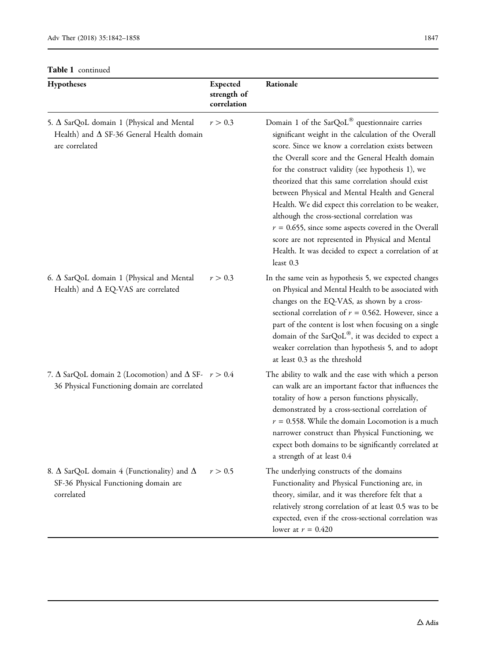| Hypotheses                                                                                                           | <b>Expected</b><br>strength of<br>correlation | Rationale                                                                                                                                                                                                                                                                                                                                                                                                                                                                                                                                                                                                                                                                           |
|----------------------------------------------------------------------------------------------------------------------|-----------------------------------------------|-------------------------------------------------------------------------------------------------------------------------------------------------------------------------------------------------------------------------------------------------------------------------------------------------------------------------------------------------------------------------------------------------------------------------------------------------------------------------------------------------------------------------------------------------------------------------------------------------------------------------------------------------------------------------------------|
| 5. Δ SarQoL domain 1 (Physical and Mental<br>Health) and $\Delta$ SF-36 General Health domain<br>are correlated      | r > 0.3                                       | Domain 1 of the SarQoL <sup>®</sup> questionnaire carries<br>significant weight in the calculation of the Overall<br>score. Since we know a correlation exists between<br>the Overall score and the General Health domain<br>for the construct validity (see hypothesis 1), we<br>theorized that this same correlation should exist<br>between Physical and Mental Health and General<br>Health. We did expect this correlation to be weaker,<br>although the cross-sectional correlation was<br>$r = 0.655$ , since some aspects covered in the Overall<br>score are not represented in Physical and Mental<br>Health. It was decided to expect a correlation of at<br>least $0.3$ |
| 6. $\Delta$ SarQoL domain 1 (Physical and Mental<br>Health) and $\Delta$ EQ-VAS are correlated                       | r > 0.3                                       | In the same vein as hypothesis 5, we expected changes<br>on Physical and Mental Health to be associated with<br>changes on the EQ-VAS, as shown by a cross-<br>sectional correlation of $r = 0.562$ . However, since a<br>part of the content is lost when focusing on a single<br>domain of the SarQoL®, it was decided to expect a<br>weaker correlation than hypothesis 5, and to adopt<br>at least 0.3 as the threshold                                                                                                                                                                                                                                                         |
| 7. $\Delta$ SarQoL domain 2 (Locomotion) and $\Delta$ SF- $r > 0.4$<br>36 Physical Functioning domain are correlated |                                               | The ability to walk and the ease with which a person<br>can walk are an important factor that influences the<br>totality of how a person functions physically,<br>demonstrated by a cross-sectional correlation of<br>$r = 0.558$ . While the domain Locomotion is a much<br>narrower construct than Physical Functioning, we<br>expect both domains to be significantly correlated at<br>a strength of at least 0.4                                                                                                                                                                                                                                                                |
| 8. $\Delta$ SarQoL domain 4 (Functionality) and $\Delta$<br>SF-36 Physical Functioning domain are<br>correlated      | r > 0.5                                       | The underlying constructs of the domains<br>Functionality and Physical Functioning are, in<br>theory, similar, and it was therefore felt that a<br>relatively strong correlation of at least 0.5 was to be<br>expected, even if the cross-sectional correlation was<br>lower at $r = 0.420$                                                                                                                                                                                                                                                                                                                                                                                         |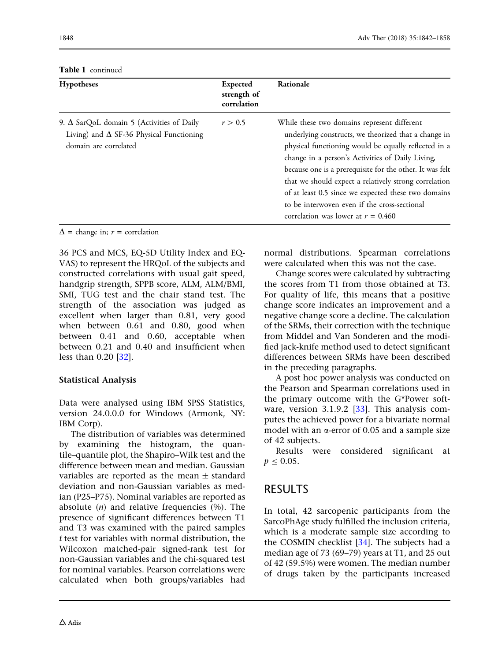| <b>Hypotheses</b>                                                                                                            | <b>Expected</b><br>strength of<br>correlation | Rationale                                                                                                                                                                                                                                                                                                                                                                                                                                                                           |
|------------------------------------------------------------------------------------------------------------------------------|-----------------------------------------------|-------------------------------------------------------------------------------------------------------------------------------------------------------------------------------------------------------------------------------------------------------------------------------------------------------------------------------------------------------------------------------------------------------------------------------------------------------------------------------------|
| 9. $\Delta$ SarQoL domain 5 (Activities of Daily<br>Living) and $\Delta$ SF-36 Physical Functioning<br>domain are correlated | r > 0.5                                       | While these two domains represent different<br>underlying constructs, we theorized that a change in<br>physical functioning would be equally reflected in a<br>change in a person's Activities of Daily Living,<br>because one is a prerequisite for the other. It was felt<br>that we should expect a relatively strong correlation<br>of at least 0.5 since we expected these two domains<br>to be interwoven even if the cross-sectional<br>correlation was lower at $r = 0.460$ |

Table 1 continued

 $\Delta$  = change in;  $r$  = correlation

36 PCS and MCS, EQ-5D Utility Index and EQ-VAS) to represent the HRQoL of the subjects and constructed correlations with usual gait speed, handgrip strength, SPPB score, ALM, ALM/BMI, SMI, TUG test and the chair stand test. The strength of the association was judged as excellent when larger than 0.81, very good when between 0.61 and 0.80, good when between 0.41 and 0.60, acceptable when between 0.21 and 0.40 and insufficient when less than 0.20 [\[32\]](#page-16-0).

### Statistical Analysis

Data were analysed using IBM SPSS Statistics, version 24.0.0.0 for Windows (Armonk, NY: IBM Corp).

The distribution of variables was determined by examining the histogram, the quantile–quantile plot, the Shapiro–Wilk test and the difference between mean and median. Gaussian variables are reported as the mean  $\pm$  standard deviation and non-Gaussian variables as median (P25–P75). Nominal variables are reported as absolute  $(n)$  and relative frequencies  $(\%)$ . The presence of significant differences between T1 and T3 was examined with the paired samples t test for variables with normal distribution, the Wilcoxon matched-pair signed-rank test for non-Gaussian variables and the chi-squared test for nominal variables. Pearson correlations were calculated when both groups/variables had normal distributions. Spearman correlations were calculated when this was not the case.

Change scores were calculated by subtracting the scores from T1 from those obtained at T3. For quality of life, this means that a positive change score indicates an improvement and a negative change score a decline. The calculation of the SRMs, their correction with the technique from Middel and Van Sonderen and the modified jack-knife method used to detect significant differences between SRMs have been described in the preceding paragraphs.

A post hoc power analysis was conducted on the Pearson and Spearman correlations used in the primary outcome with the G\*Power software, version  $3.1.9.2$  [ $33$ ]. This analysis computes the achieved power for a bivariate normal model with an  $\alpha$ -error of 0.05 and a sample size of 42 subjects.

Results were considered significant at  $p < 0.05$ .

# RESULTS

In total, 42 sarcopenic participants from the SarcoPhAge study fulfilled the inclusion criteria, which is a moderate sample size according to the COSMIN checklist [\[34\]](#page-16-0). The subjects had a median age of 73 (69–79) years at T1, and 25 out of 42 (59.5%) were women. The median number of drugs taken by the participants increased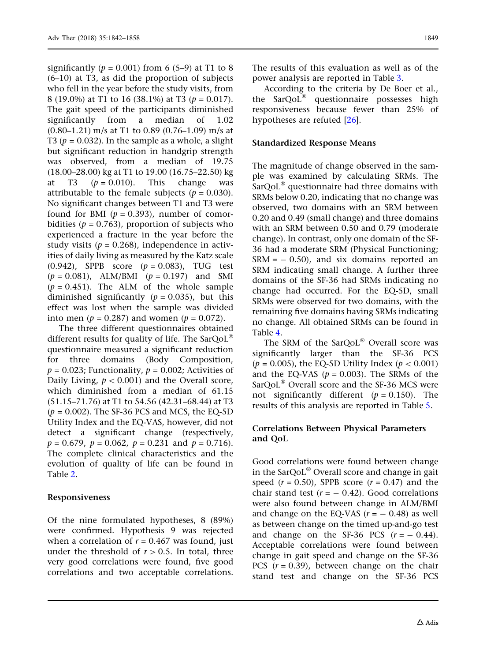significantly ( $p = 0.001$ ) from 6 (5–9) at T1 to 8 (6–10) at T3, as did the proportion of subjects who fell in the year before the study visits, from 8 (19.0%) at T1 to 16 (38.1%) at T3 ( $p = 0.017$ ). The gait speed of the participants diminished significantly from a median of 1.02 (0.80–1.21) m/s at T1 to 0.89 (0.76–1.09) m/s at T3 ( $p = 0.032$ ). In the sample as a whole, a slight but significant reduction in handgrip strength was observed, from a median of 19.75 (18.00–28.00) kg at T1 to 19.00 (16.75–22.50) kg at T3  $(p = 0.010)$ . This change was attributable to the female subjects ( $p = 0.030$ ). No significant changes between T1 and T3 were found for BMI ( $p = 0.393$ ), number of comorbidities ( $p = 0.763$ ), proportion of subjects who experienced a fracture in the year before the study visits ( $p = 0.268$ ), independence in activities of daily living as measured by the Katz scale (0.942), SPPB score  $(p = 0.083)$ , TUG test  $(p = 0.081)$ , ALM/BMI  $(p = 0.197)$  and SMI  $(p = 0.451)$ . The ALM of the whole sample diminished significantly ( $p = 0.035$ ), but this effect was lost when the sample was divided into men ( $p = 0.287$ ) and women ( $p = 0.072$ ).

The three different questionnaires obtained different results for quality of life. The SarQoL<sup>®</sup> questionnaire measured a significant reduction for three domains (Body Composition,  $p = 0.023$ ; Functionality,  $p = 0.002$ ; Activities of Daily Living,  $p < 0.001$ ) and the Overall score, which diminished from a median of 61.15 (51.15–71.76) at T1 to 54.56 (42.31–68.44) at T3  $(p = 0.002)$ . The SF-36 PCS and MCS, the EQ-5D Utility Index and the EQ-VAS, however, did not detect a significant change (respectively,  $p = 0.679$ ,  $p = 0.062$ ,  $p = 0.231$  and  $p = 0.716$ . The complete clinical characteristics and the evolution of quality of life can be found in Table [2](#page-8-0).

### Responsiveness

Of the nine formulated hypotheses, 8 (89%) were confirmed. Hypothesis 9 was rejected when a correlation of  $r = 0.467$  was found, just under the threshold of  $r > 0.5$ . In total, three very good correlations were found, five good correlations and two acceptable correlations.

The results of this evaluation as well as of the power analysis are reported in Table [3](#page-10-0).

According to the criteria by De Boer et al., the  $SarQoL<sup>®</sup>$  questionnaire possesses high responsiveness because fewer than 25% of hypotheses are refuted [[26](#page-16-0)].

#### Standardized Response Means

The magnitude of change observed in the sample was examined by calculating SRMs. The  $SarQoL<sup>®</sup>$  questionnaire had three domains with SRMs below 0.20, indicating that no change was observed, two domains with an SRM between 0.20 and 0.49 (small change) and three domains with an SRM between 0.50 and 0.79 (moderate change). In contrast, only one domain of the SF-36 had a moderate SRM (Physical Functioning;  $SRM = -0.50$ , and six domains reported an SRM indicating small change. A further three domains of the SF-36 had SRMs indicating no change had occurred. For the EQ-5D, small SRMs were observed for two domains, with the remaining five domains having SRMs indicating no change. All obtained SRMs can be found in Table [4](#page-11-0).

The SRM of the SarQoL® Overall score was significantly larger than the SF-36 PCS ( $p = 0.005$ ), the EQ-5D Utility Index ( $p < 0.001$ ) and the EQ-VAS ( $p = 0.003$ ). The SRMs of the  $SarQoL<sup>®</sup>$  Overall score and the SF-36 MCS were not significantly different ( $p = 0.150$ ). The results of this analysis are reported in Table [5.](#page-12-0)

### Correlations Between Physical Parameters and QoL

Good correlations were found between change in the SarQoL<sup>®</sup> Overall score and change in gait speed  $(r = 0.50)$ , SPPB score  $(r = 0.47)$  and the chair stand test  $(r = -0.42)$ . Good correlations were also found between change in ALM/BMI and change on the EQ-VAS  $(r = -0.48)$  as well as between change on the timed up-and-go test and change on the SF-36 PCS  $(r = -0.44)$ . Acceptable correlations were found between change in gait speed and change on the SF-36 PCS  $(r = 0.39)$ , between change on the chair stand test and change on the SF-36 PCS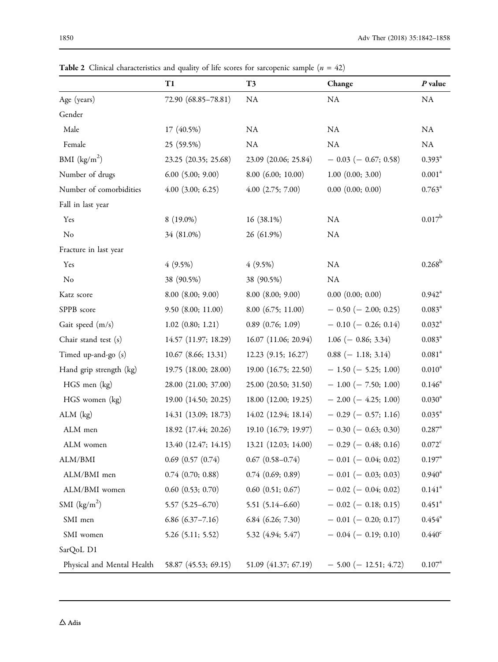|                            | T1                      | T <sub>3</sub>         | Change                     | $P$ value            |
|----------------------------|-------------------------|------------------------|----------------------------|----------------------|
| Age (years)                | 72.90 (68.85-78.81)     | ${\rm NA}$             | NA                         | NA                   |
| Gender                     |                         |                        |                            |                      |
| Male                       | 17 (40.5%)              | NA                     | NA                         | NA                   |
| Female                     | 25 (59.5%)              | ${\rm NA}$             | ${\rm NA}$                 | NA                   |
| BMI $(kg/m2)$              | 23.25 (20.35; 25.68)    | 23.09 (20.06; 25.84)   | $-0.03$ ( $-0.67; 0.58$ )  | $0.393^{\rm a}$      |
| Number of drugs            | $6.00$ $(5.00; 9.00)$   | $8.00$ $(6.00; 10.00)$ | $1.00$ $(0.00; 3.00)$      | 0.001 <sup>a</sup>   |
| Number of comorbidities    | $4.00$ $(3.00; 6.25)$   | $4.00$ $(2.75; 7.00)$  | $0.00$ $(0.00; 0.00)$      | $0.763^{\rm a}$      |
| Fall in last year          |                         |                        |                            |                      |
| Yes                        | $8(19.0\%)$             | $16(38.1\%)$           | NA                         | 0.017 <sup>b</sup>   |
| No                         | 34 (81.0%)              | 26 (61.9%)             | NA                         |                      |
| Fracture in last year      |                         |                        |                            |                      |
| Yes                        | $4(9.5\%)$              | $4(9.5\%)$             | ${\rm NA}$                 | $0.268^{\rm b}$      |
| No                         | 38 (90.5%)              | 38 (90.5%)             | NA                         |                      |
| Katz score                 | $8.00$ $(8.00; 9.00)$   | $8.00$ $(8.00; 9.00)$  | $0.00$ $(0.00; 0.00)$      | $0.942^{\mathrm{a}}$ |
| SPPB score                 | $9.50$ $(8.00; 11.00)$  | $8.00$ (6.75; 11.00)   | $-0.50$ ( $-2.00; 0.25$ )  | $0.083^{a}$          |
| Gait speed (m/s)           | $1.02$ $(0.80; 1.21)$   | $0.89$ $(0.76; 1.09)$  | $-0.10 (-0.26; 0.14)$      | $0.032^{\rm a}$      |
| Chair stand test (s)       | 14.57 (11.97; 18.29)    | 16.07 (11.06; 20.94)   | $1.06$ (- 0.86; 3.34)      | $0.083^{\rm a}$      |
| Timed up-and-go (s)        | $10.67$ (8.66; 13.31)   | $12.23$ (9.15; 16.27)  | $0.88$ (-1.18; 3.14)       | $0.081^{\rm a}$      |
| Hand grip strength (kg)    | 19.75 (18.00; 28.00)    | 19.00 (16.75; 22.50)   | $-1.50$ ( $-5.25$ ; 1.00)  | $0.010^a$            |
| HGS men (kg)               | 28.00 (21.00; 37.00)    | 25.00 (20.50; 31.50)   | $-1.00$ ( $-7.50$ ; 1.00)  | $0.146^{\rm a}$      |
| HGS women (kg)             | 19.00 (14.50; 20.25)    | 18.00 (12.00; 19.25)   | $-2.00 (-4.25; 1.00)$      | $0.030^{\rm a}$      |
| $ALM$ (kg)                 | 14.31 (13.09; 18.73)    | 14.02 (12.94; 18.14)   | $-0.29$ ( $-0.57; 1.16$ )  | $0.035^{\text{a}}$   |
| ALM men                    | 18.92 (17.44; 20.26)    | 19.10 (16.79; 19.97)   | $-0.30 (-0.63; 0.30)$      | $0.287$ <sup>a</sup> |
| ALM women                  | 13.40 (12.47; 14.15)    | 13.21 (12.03; 14.00)   | $-0.29$ ( $-0.48; 0.16$ )  | $0.072^{\circ}$      |
| ALM/BMI                    | $0.69$ $(0.57$ $(0.74)$ | $0.67$ $(0.58 - 0.74)$ | $-$ 0.01 ( $-$ 0.04; 0.02) | $0.197^{\rm a}$      |
| ALM/BMI men                | $0.74$ $(0.70; 0.88)$   | $0.74$ $(0.69; 0.89)$  | $-$ 0.01 ( $-$ 0.03; 0.03) | $0.940^{\rm a}$      |
| ALM/BMI women              | $0.60$ $(0.53; 0.70)$   | $0.60$ $(0.51; 0.67)$  | $-0.02$ ( $-0.04; 0.02$ )  | $0.141$ <sup>a</sup> |
| SMI $(kg/m2)$              | $5.57(5.25 - 6.70)$     | $5.51(5.14-6.60)$      | $-$ 0.02 ( $-$ 0.18; 0.15) | $0.451$ <sup>a</sup> |
| SMI men                    | $6.86(6.37 - 7.16)$     | $6.84$ $(6.26; 7.30)$  | $-$ 0.01 ( $-$ 0.20; 0.17) | $0.454^{\circ}$      |
| SMI women                  | $5.26$ (5.11; 5.52)     | 5.32 (4.94; 5.47)      | $-0.04$ (-0.19; 0.10)      | $0.440^\circ$        |
| SarQoL D1                  |                         |                        |                            |                      |
| Physical and Mental Health | 58.87 (45.53; 69.15)    | 51.09 (41.37; 67.19)   | $-5.00$ ( $-12.51; 4.72$ ) | $0.107^{a}$          |

<span id="page-8-0"></span>Table 2 Clinical characteristics and quality of life scores for sarcopenic sample  $(n = 42)$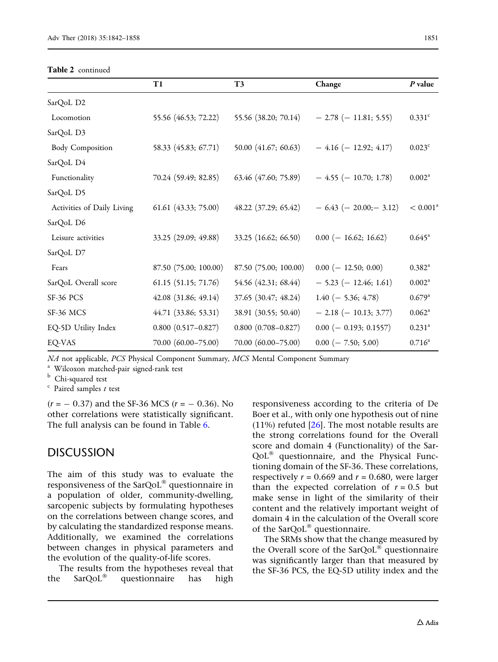Table 2 continued

|                            | T1                     | T3                        | Change                         | P value              |
|----------------------------|------------------------|---------------------------|--------------------------------|----------------------|
| SarQoL D2                  |                        |                           |                                |                      |
| Locomotion                 | 55.56 (46.53; 72.22)   | 55.56 (38.20; 70.14)      | $-2.78$ (-11.81; 5.55)         | $0.331$ <sup>c</sup> |
| SarQoL D3                  |                        |                           |                                |                      |
| <b>Body Composition</b>    | 58.33 (45.83; 67.71)   | 50.00 (41.67; 60.63)      | $-4.16$ (-12.92; 4.17)         | $0.023$ <sup>c</sup> |
| SarQoL D4                  |                        |                           |                                |                      |
| Functionality              | 70.24 (59.49; 82.85)   | 63.46 (47.60; 75.89)      | $-4.55$ ( $-10.70; 1.78$ )     | $0.002^a$            |
| SarQoL D5                  |                        |                           |                                |                      |
| Activities of Daily Living | 61.61 (43.33; 75.00)   | 48.22 (37.29; 65.42)      | $-6.43$ ( $-20.00$ ; $-3.12$ ) | $< 0.001^a$          |
| SarQoL D6                  |                        |                           |                                |                      |
| Leisure activities         | 33.25 (29.09; 49.88)   | 33.25 (16.62; 66.50)      | $0.00$ (-16.62; 16.62)         | $0.645^{\circ}$      |
| SarQoL D7                  |                        |                           |                                |                      |
| Fears                      | 87.50 (75.00; 100.00)  | 87.50 (75.00; 100.00)     | $0.00 (-12.50; 0.00)$          | $0.382^{\rm a}$      |
| SarQoL Overall score       | 61.15 (51.15; 71.76)   | 54.56 (42.31; 68.44)      | $-5.23$ ( $-12.46$ ; 1.61)     | $0.002^a$            |
| SF-36 PCS                  | $42.08$ (31.86; 49.14) | 37.65 (30.47; 48.24)      | $1.40$ (- 5.36; 4.78)          | $0.679^{\rm a}$      |
| SF-36 MCS                  | 44.71 (33.86; 53.31)   | 38.91 (30.55; 50.40)      | $-2.18$ (-10.13; 3.77)         | $0.062^{\rm a}$      |
| EQ-5D Utility Index        | $0.800(0.517 - 0.827)$ | $0.800$ $(0.708 - 0.827)$ | $0.00 (-0.193; 0.1557)$        | $0.231$ <sup>a</sup> |
| EQ-VAS                     | 70.00 (60.00-75.00)    | 70.00 (60.00-75.00)       | $0.00 (-7.50; 5.00)$           | $0.716^a$            |

 $NA$  not applicable, *PCS* Physical Component Summary, *MCS* Mental Component Summary a Wilcoxon matched-pair signed-rank test b Chi-squared test c Paired samples t test

 $(r = -0.37)$  and the SF-36 MCS  $(r = -0.36)$ . No other correlations were statistically significant. The full analysis can be found in Table [6](#page-13-0).

### DISCUSSION

The aim of this study was to evaluate the responsiveness of the SarQoL $^{\circ}$  questionnaire in a population of older, community-dwelling, sarcopenic subjects by formulating hypotheses on the correlations between change scores, and by calculating the standardized response means. Additionally, we examined the correlations between changes in physical parameters and the evolution of the quality-of-life scores.

The results from the hypotheses reveal that the  $SarQoL^{\circledast}$  questionnaire has high

responsiveness according to the criteria of De Boer et al., with only one hypothesis out of nine (11%) refuted [[26](#page-16-0)]. The most notable results are the strong correlations found for the Overall score and domain 4 (Functionality) of the Sar- $QoL<sup>®</sup>$  questionnaire, and the Physical Functioning domain of the SF-36. These correlations, respectively  $r = 0.669$  and  $r = 0.680$ , were larger than the expected correlation of  $r = 0.5$  but make sense in light of the similarity of their content and the relatively important weight of domain 4 in the calculation of the Overall score of the SarQoL $^{\circledR}$  questionnaire.

The SRMs show that the change measured by the Overall score of the  $SarQoL^{\circledast}$  questionnaire was significantly larger than that measured by the SF-36 PCS, the EQ-5D utility index and the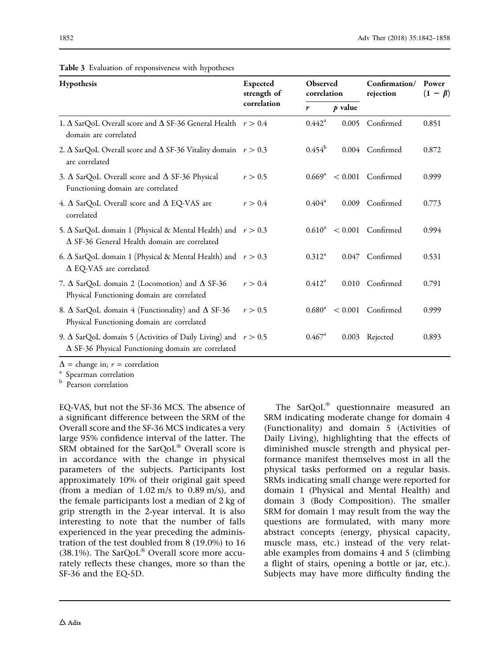| Hypothesis                                                                                                                          | <b>Expected</b><br>strength of | Observed<br>correlation |           | Confirmation/<br>rejection | Power<br>$(1 - \beta)$ |
|-------------------------------------------------------------------------------------------------------------------------------------|--------------------------------|-------------------------|-----------|----------------------------|------------------------|
|                                                                                                                                     | correlation                    | r                       | $p$ value |                            |                        |
| 1. $\Delta$ SarQoL Overall score and $\Delta$ SF-36 General Health $r > 0.4$<br>domain are correlated                               |                                | $0.442^{\rm a}$         | 0.005     | Confirmed                  | 0.851                  |
| 2. $\Delta$ SarQoL Overall score and $\Delta$ SF-36 Vitality domain $r > 0.3$<br>are correlated                                     |                                | $0.454^b$               | 0.004     | Confirmed                  | 0.872                  |
| 3. $\Delta$ SarQoL Overall score and $\Delta$ SF-36 Physical<br>Functioning domain are correlated                                   | r > 0.5                        | $0.669^{\rm a}$         | < 0.001   | Confirmed                  | 0.999                  |
| 4. $\Delta$ SarQoL Overall score and $\Delta$ EQ-VAS are<br>correlated                                                              | r > 0.4                        | $0.404^a$               | 0.009     | Confirmed                  | 0.773                  |
| 5. $\Delta$ SarQoL domain 1 (Physical & Mental Health) and $r > 0.3$<br>$\Delta$ SF-36 General Health domain are correlated         |                                | $0.610^a$               | < 0.001   | Confirmed                  | 0.994                  |
| 6. $\Delta$ SarQoL domain 1 (Physical & Mental Health) and $r > 0.3$<br>$\Delta$ EQ-VAS are correlated                              |                                | $0.312^a$               | 0.047     | Confirmed                  | 0.531                  |
| 7. $\Delta$ SarQoL domain 2 (Locomotion) and $\Delta$ SF-36<br>Physical Functioning domain are correlated                           | r > 0.4                        | $0.412^a$               | 0.010     | Confirmed                  | 0.791                  |
| 8. $\Delta$ SarQoL domain 4 (Functionality) and $\Delta$ SF-36<br>Physical Functioning domain are correlated                        | r > 0.5                        | $0.680^{\rm a}$         | < 0.001   | Confirmed                  | 0.999                  |
| 9. $\Delta$ SarQoL domain 5 (Activities of Daily Living) and $r > 0.5$<br>$\Delta$ SF-36 Physical Functioning domain are correlated |                                | $0.467^{\rm a}$         | 0.003     | Rejected                   | 0.893                  |

<span id="page-10-0"></span>Table 3 Evaluation of responsiveness with hypotheses

 $\Delta$  = change in;  $r$  = correlation <br><sup>a</sup> Spearman correlation

**b** Pearson correlation

EQ-VAS, but not the SF-36 MCS. The absence of a significant difference between the SRM of the Overall score and the SF-36 MCS indicates a very large 95% confidence interval of the latter. The SRM obtained for the  $SarQoL^{\circledast}$  Overall score is in accordance with the change in physical parameters of the subjects. Participants lost approximately 10% of their original gait speed (from a median of  $1.02 \text{ m/s}$  to  $0.89 \text{ m/s}$ ), and the female participants lost a median of 2 kg of grip strength in the 2-year interval. It is also interesting to note that the number of falls experienced in the year preceding the administration of the test doubled from 8 (19.0%) to 16 (38.1%). The SarQoL<sup>®</sup> Overall score more accurately reflects these changes, more so than the SF-36 and the EQ-5D.

The  $SarOoL<sup>®</sup>$  questionnaire measured an SRM indicating moderate change for domain 4 (Functionality) and domain 5 (Activities of Daily Living), highlighting that the effects of diminished muscle strength and physical performance manifest themselves most in all the physical tasks performed on a regular basis. SRMs indicating small change were reported for domain 1 (Physical and Mental Health) and domain 3 (Body Composition). The smaller SRM for domain 1 may result from the way the questions are formulated, with many more abstract concepts (energy, physical capacity, muscle mass, etc.) instead of the very relatable examples from domains 4 and 5 (climbing a flight of stairs, opening a bottle or jar, etc.). Subjects may have more difficulty finding the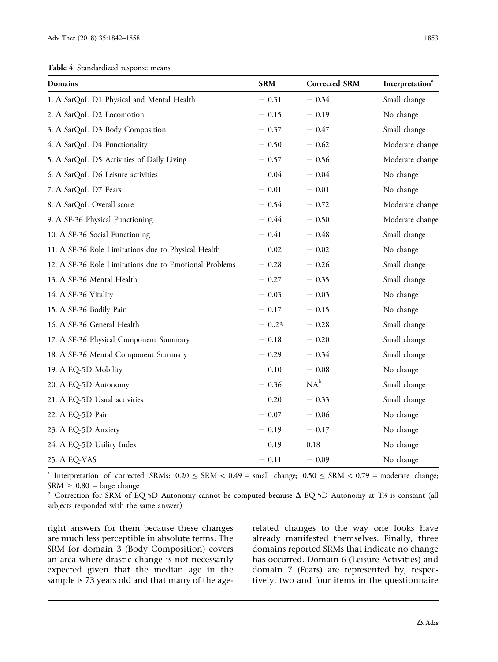<span id="page-11-0"></span>Table 4 Standardized response means

| <b>Domains</b>                                                | <b>SRM</b> | <b>Corrected SRM</b> | Interpretation <sup>a</sup> |
|---------------------------------------------------------------|------------|----------------------|-----------------------------|
| 1. A SarQoL D1 Physical and Mental Health                     | $-0.31$    | $-0.34$              | Small change                |
| 2. $\Delta$ SarQoL D2 Locomotion                              | $-0.15$    | $-0.19$              | No change                   |
| 3. $\Delta$ SarQoL D3 Body Composition                        | $-0.37$    | $-0.47$              | Small change                |
| 4. A SarQoL D4 Functionality                                  | $-0.50$    | $-0.62$              | Moderate change             |
| 5. $\Delta$ SarQoL D5 Activities of Daily Living              | $-0.57$    | $-0.56$              | Moderate change             |
| 6. $\Delta$ SarQoL D6 Leisure activities                      | 0.04       | $-0.04$              | No change                   |
| 7. $\Delta$ SarQoL D7 Fears                                   | $-0.01$    | $-0.01$              | No change                   |
| 8. $\Delta$ SarQoL Overall score                              | $-0.54$    | $-0.72$              | Moderate change             |
| 9. $\Delta$ SF-36 Physical Functioning                        | $-0.44$    | $-0.50$              | Moderate change             |
| 10. $\Delta$ SF-36 Social Functioning                         | $-0.41$    | $-0.48$              | Small change                |
| 11. $\Delta$ SF-36 Role Limitations due to Physical Health    | 0.02       | $-0.02$              | No change                   |
| 12. $\Delta$ SF-36 Role Limitations due to Emotional Problems | $-0.28$    | $-0.26$              | Small change                |
| 13. $\Delta$ SF-36 Mental Health                              | $-0.27$    | $-0.35$              | Small change                |
| 14. $\Delta$ SF-36 Vitality                                   | $-0.03$    | $-0.03$              | No change                   |
| 15. $\Delta$ SF-36 Bodily Pain                                | $-0.17$    | $-0.15$              | No change                   |
| 16. $\Delta$ SF-36 General Health                             | $-0.23$    | $-0.28$              | Small change                |
| 17. $\Delta$ SF-36 Physical Component Summary                 | $-0.18$    | $-0.20$              | Small change                |
| 18. $\Delta$ SF-36 Mental Component Summary                   | $-0.29$    | $-0.34$              | Small change                |
| 19. $\Delta$ EQ-5D Mobility                                   | 0.10       | $-0.08$              | No change                   |
| 20. ∆ EQ-5D Autonomy                                          | $-0.36$    | $NA^b$               | Small change                |
| 21. $\Delta$ EQ-5D Usual activities                           | 0.20       | $-0.33$              | Small change                |
| 22. A EQ-5D Pain                                              | $-0.07$    | $-0.06$              | No change                   |
| 23. $\Delta$ EQ-5D Anxiety                                    | $-0.19$    | $-0.17$              | No change                   |
| 24. $\Delta$ EQ-5D Utility Index                              | 0.19       | 0.18                 | No change                   |
| 25. $\triangle$ EQ-VAS                                        | $-0.11$    | $-0.09$              | No change                   |

<sup>a</sup> Interpretation of corrected SRMs:  $0.20 \leq$  SRM  $\lt 0.49$  = small change;  $0.50 \leq$  SRM  $\lt 0.79$  = moderate change;  $SRM \geq 0.80$  = large change

 $b$  Correction for SRM of EQ-5D Autonomy cannot be computed because  $\Delta$  EQ-5D Autonomy at T3 is constant (all subjects responded with the same answer)

right answers for them because these changes are much less perceptible in absolute terms. The SRM for domain 3 (Body Composition) covers an area where drastic change is not necessarily expected given that the median age in the sample is 73 years old and that many of the agerelated changes to the way one looks have already manifested themselves. Finally, three domains reported SRMs that indicate no change has occurred. Domain 6 (Leisure Activities) and domain 7 (Fears) are represented by, respectively, two and four items in the questionnaire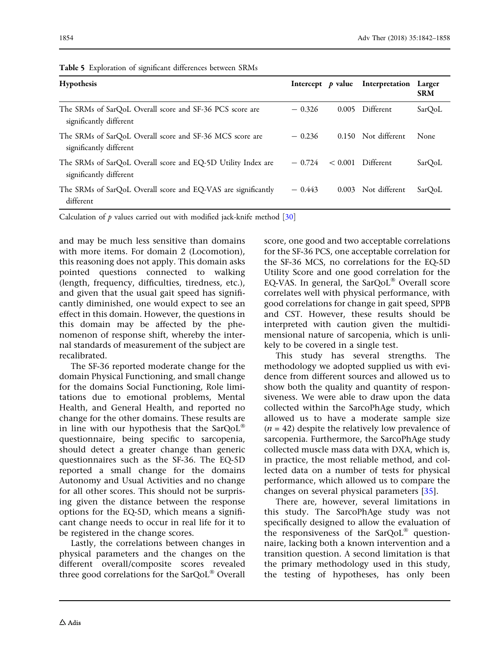| <b>Hypothesis</b>                                                                       | Intercept $p$ value | Interpretation Larger | <b>SRM</b> |
|-----------------------------------------------------------------------------------------|---------------------|-----------------------|------------|
| The SRMs of SarQoL Overall score and SF-36 PCS score are<br>significantly different     | $-0.326$            | 0.005 Different       | SarQoL     |
| The SRMs of SarQoL Overall score and SF-36 MCS score are<br>significantly different     | $-0.236$            | 0.150 Not different   | None       |
| The SRMs of SarQoL Overall score and EQ-5D Utility Index are<br>significantly different | $-0.724$            | $< 0.001$ Different   | SarQoL     |
| The SRMs of SarQoL Overall score and EQ-VAS are significantly<br>different              | $-0.443$            | 0.003 Not different   | SarQoL     |

<span id="page-12-0"></span>Table 5 Exploration of significant differences between SRMs

Calculation of  $p$  values carried out with modified jack-knife method  $[30]$ 

and may be much less sensitive than domains with more items. For domain 2 (Locomotion), this reasoning does not apply. This domain asks pointed questions connected to walking (length, frequency, difficulties, tiredness, etc.), and given that the usual gait speed has significantly diminished, one would expect to see an effect in this domain. However, the questions in this domain may be affected by the phenomenon of response shift, whereby the internal standards of measurement of the subject are recalibrated.

The SF-36 reported moderate change for the domain Physical Functioning, and small change for the domains Social Functioning, Role limitations due to emotional problems, Mental Health, and General Health, and reported no change for the other domains. These results are in line with our hypothesis that the SarQoL<sup>®</sup> questionnaire, being specific to sarcopenia, should detect a greater change than generic questionnaires such as the SF-36. The EQ-5D reported a small change for the domains Autonomy and Usual Activities and no change for all other scores. This should not be surprising given the distance between the response options for the EQ-5D, which means a significant change needs to occur in real life for it to be registered in the change scores.

Lastly, the correlations between changes in physical parameters and the changes on the different overall/composite scores revealed three good correlations for the  $SarQoL^{\circledast}$  Overall score, one good and two acceptable correlations for the SF-36 PCS, one acceptable correlation for the SF-36 MCS, no correlations for the EQ-5D Utility Score and one good correlation for the EQ-VAS. In general, the SarQoL® Overall score correlates well with physical performance, with good correlations for change in gait speed, SPPB and CST. However, these results should be interpreted with caution given the multidimensional nature of sarcopenia, which is unlikely to be covered in a single test.

This study has several strengths. The methodology we adopted supplied us with evidence from different sources and allowed us to show both the quality and quantity of responsiveness. We were able to draw upon the data collected within the SarcoPhAge study, which allowed us to have a moderate sample size  $(n = 42)$  despite the relatively low prevalence of sarcopenia. Furthermore, the SarcoPhAge study collected muscle mass data with DXA, which is, in practice, the most reliable method, and collected data on a number of tests for physical performance, which allowed us to compare the changes on several physical parameters [\[35\]](#page-16-0).

There are, however, several limitations in this study. The SarcoPhAge study was not specifically designed to allow the evaluation of the responsiveness of the SarQoL $^{\circledR}$  questionnaire, lacking both a known intervention and a transition question. A second limitation is that the primary methodology used in this study, the testing of hypotheses, has only been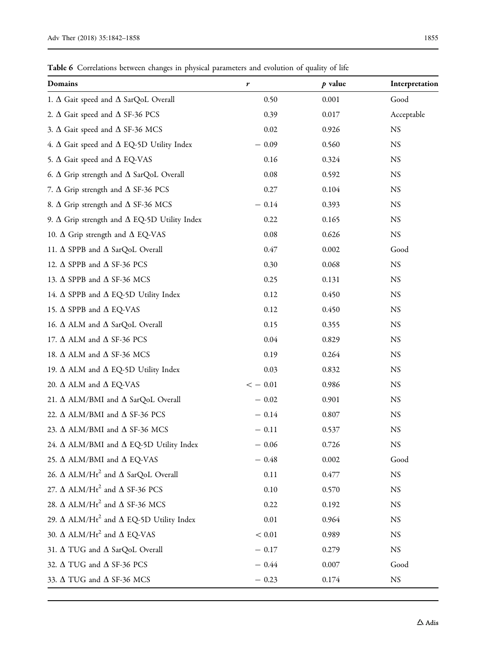<span id="page-13-0"></span>Table 6 Correlations between changes in physical parameters and evolution of quality of life

| Domains                                                           | r          | $p$ value | Interpretation |
|-------------------------------------------------------------------|------------|-----------|----------------|
| 1. $\Delta$ Gait speed and $\Delta$ SarQoL Overall                | 0.50       | 0.001     | Good           |
| 2. $\Delta$ Gait speed and $\Delta$ SF-36 PCS                     | 0.39       | 0.017     | Acceptable     |
| 3. $\Delta$ Gait speed and $\Delta$ SF-36 MCS                     | 0.02       | 0.926     | <b>NS</b>      |
| 4. $\Delta$ Gait speed and $\Delta$ EQ-5D Utility Index           | $-0.09$    | 0.560     | <b>NS</b>      |
| 5. $\Delta$ Gait speed and $\Delta$ EQ-VAS                        | 0.16       | 0.324     | <b>NS</b>      |
| 6. $\Delta$ Grip strength and $\Delta$ SarQoL Overall             | 0.08       | 0.592     | NS             |
| 7. $\Delta$ Grip strength and $\Delta$ SF-36 PCS                  | 0.27       | 0.104     | <b>NS</b>      |
| 8. $\Delta$ Grip strength and $\Delta$ SF-36 MCS                  | $-0.14$    | 0.393     | NS             |
| 9. $\Delta$ Grip strength and $\Delta$ EQ-5D Utility Index        | 0.22       | 0.165     | <b>NS</b>      |
| 10. $\Delta$ Grip strength and $\Delta$ EQ-VAS                    | 0.08       | 0.626     | <b>NS</b>      |
| 11. $\Delta$ SPPB and $\Delta$ SarQoL Overall                     | 0.47       | 0.002     | Good           |
| 12. $\Delta$ SPPB and $\Delta$ SF-36 PCS                          | 0.30       | 0.068     | NS             |
| 13. $\Delta$ SPPB and $\Delta$ SF-36 MCS                          | 0.25       | 0.131     | <b>NS</b>      |
| 14. $\Delta$ SPPB and $\Delta$ EQ-5D Utility Index                | 0.12       | 0.450     | NS             |
| 15. $\Delta$ SPPB and $\Delta$ EQ-VAS                             | 0.12       | 0.450     | <b>NS</b>      |
| 16. $\Delta$ ALM and $\Delta$ SarQoL Overall                      | 0.15       | 0.355     | <b>NS</b>      |
| 17. $\Delta$ ALM and $\Delta$ SF-36 PCS                           | 0.04       | 0.829     | <b>NS</b>      |
| 18. $\Delta$ ALM and $\Delta$ SF-36 MCS                           | 0.19       | 0.264     | <b>NS</b>      |
| 19. $\Delta$ ALM and $\Delta$ EQ-5D Utility Index                 | 0.03       | 0.832     | <b>NS</b>      |
| 20. $\Delta$ ALM and $\Delta$ EQ-VAS                              | $<-0.01$   | 0.986     | <b>NS</b>      |
| 21. Δ ALM/BMI and Δ SarQoL Overall                                | $-0.02$    | 0.901     | <b>NS</b>      |
| 22. $\Delta$ ALM/BMI and $\Delta$ SF-36 PCS                       | $-0.14$    | 0.807     | <b>NS</b>      |
| 23. $\Delta$ ALM/BMI and $\Delta$ SF-36 MCS                       | $-0.11$    | 0.537     | <b>NS</b>      |
| 24. $\Delta$ ALM/BMI and $\Delta$ EQ-5D Utility Index             | $-0.06$    | 0.726     | <b>NS</b>      |
| 25. $\Delta$ ALM/BMI and $\Delta$ EQ-VAS                          | $-0.48$    | 0.002     | Good           |
| 26. $\Delta$ ALM/Ht <sup>2</sup> and $\Delta$ SarQoL Overall      | $0.11\,$   | 0.477     | $_{\rm NS}$    |
| 27. $\Delta$ ALM/Ht $^2$ and $\Delta$ SF-36 PCS                   | 0.10       | 0.570     | <b>NS</b>      |
| 28. $\Delta$ ALM/Ht <sup>2</sup> and $\Delta$ SF-36 MCS           | 0.22       | 0.192     | <b>NS</b>      |
| 29. $\Delta$ ALM/Ht <sup>2</sup> and $\Delta$ EQ-5D Utility Index | 0.01       | 0.964     | <b>NS</b>      |
| 30. $\Delta$ ALM/Ht <sup>2</sup> and $\Delta$ EQ-VAS              | $< 0.01\,$ | 0.989     | <b>NS</b>      |
| 31. $\Delta$ TUG and $\Delta$ SarQoL Overall                      | $-0.17$    | 0.279     | <b>NS</b>      |
| 32. $\Delta$ TUG and $\Delta$ SF-36 PCS                           | $-0.44$    | 0.007     | Good           |
| 33. $\Delta$ TUG and $\Delta$ SF-36 MCS                           | $-0.23$    | 0.174     | $_{\rm NS}$    |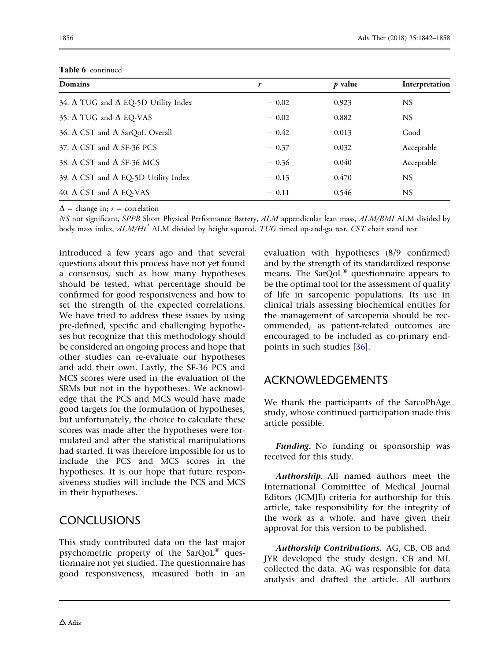| <b>Domains</b>                                    | r       | $p$ value | Interpretation |
|---------------------------------------------------|---------|-----------|----------------|
| 34. $\Delta$ TUG and $\Delta$ EQ-5D Utility Index | $-0.02$ | 0.923     | NS.            |
| 35. $\Delta$ TUG and $\Delta$ EQ-VAS              | $-0.02$ | 0.882     | NS.            |
| 36. $\Delta$ CST and $\Delta$ SarQoL Overall      | $-0.42$ | 0.013     | Good           |
| 37. $\triangle$ CST and $\triangle$ SF-36 PCS     | $-0.37$ | 0.032     | Acceptable     |
| 38. $\triangle$ CST and $\triangle$ SF-36 MCS     | $-0.36$ | 0.040     | Acceptable     |
| 39. $\Delta$ CST and $\Delta$ EQ-5D Utility Index | $-0.13$ | 0.470     | <b>NS</b>      |
| 40. $\Delta$ CST and $\Delta$ EQ-VAS              | $-0.11$ | 0.546     | NS.            |

Table 6 continued

 $\Delta$  = change in;  $r$  = correlation

NS not significant, SPPB Short Physical Performance Battery, ALM appendicular lean mass, ALM/BMI ALM divided by body mass index,  $ALM/Ht^2$  ALM divided by height squared, TUG timed up-and-go test, CST chair stand test

introduced a few years ago and that several questions about this process have not yet found a consensus, such as how many hypotheses should be tested, what percentage should be confirmed for good responsiveness and how to set the strength of the expected correlations. We have tried to address these issues by using pre-defined, specific and challenging hypotheses but recognize that this methodology should be considered an ongoing process and hope that other studies can re-evaluate our hypotheses and add their own. Lastly, the SF-36 PCS and MCS scores were used in the evaluation of the SRMs but not in the hypotheses. We acknowledge that the PCS and MCS would have made good targets for the formulation of hypotheses, but unfortunately, the choice to calculate these scores was made after the hypotheses were formulated and after the statistical manipulations had started. It was therefore impossible for us to include the PCS and MCS scores in the hypotheses. It is our hope that future responsiveness studies will include the PCS and MCS in their hypotheses.

# CONCLUSIONS

This study contributed data on the last major psychometric property of the  $SarQoL^{\circledast}$  questionnaire not yet studied. The questionnaire has good responsiveness, measured both in an evaluation with hypotheses (8/9 confirmed) and by the strength of its standardized response means. The  $SarQoL^{\circledast}$  questionnaire appears to be the optimal tool for the assessment of quality of life in sarcopenic populations. Its use in clinical trials assessing biochemical entities for the management of sarcopenia should be recommended, as patient-related outcomes are encouraged to be included as co-primary endpoints in such studies [[36\]](#page-16-0).

# ACKNOWLEDGEMENTS

We thank the participants of the SarcoPhAge study, whose continued participation made this article possible.

Funding. No funding or sponsorship was received for this study.

Authorship. All named authors meet the International Committee of Medical Journal Editors (ICMJE) criteria for authorship for this article, take responsibility for the integrity of the work as a whole, and have given their approval for this version to be published.

Authorship Contributions. AG, CB, OB and JYR developed the study design. CB and ML collected the data. AG was responsible for data analysis and drafted the article. All authors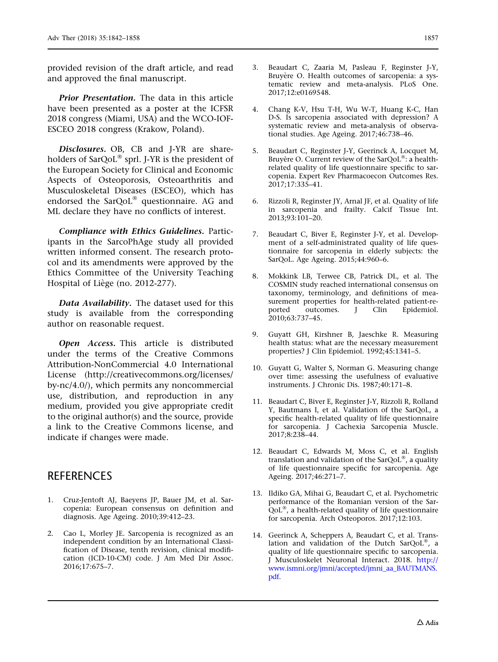<span id="page-15-0"></span>provided revision of the draft article, and read and approved the final manuscript.

**Prior Presentation.** The data in this article have been presented as a poster at the ICFSR 2018 congress (Miami, USA) and the WCO-IOF-ESCEO 2018 congress (Krakow, Poland).

Disclosures. OB, CB and J-YR are shareholders of  $SarQoL^{\circledast}$  sprl. J-YR is the president of the European Society for Clinical and Economic Aspects of Osteoporosis, Osteoarthritis and Musculoskeletal Diseases (ESCEO), which has endorsed the SarQoL® questionnaire. AG and ML declare they have no conflicts of interest.

Compliance with Ethics Guidelines. Participants in the SarcoPhAge study all provided written informed consent. The research protocol and its amendments were approved by the Ethics Committee of the University Teaching Hospital of Liège (no. 2012-277).

Data Availability. The dataset used for this study is available from the corresponding author on reasonable request.

Open Access. This article is distributed under the terms of the Creative Commons Attribution-NonCommercial 4.0 International License (http://creativecommons.org/licenses/ by-nc/4.0/), which permits any noncommercial use, distribution, and reproduction in any medium, provided you give appropriate credit to the original author(s) and the source, provide a link to the Creative Commons license, and indicate if changes were made.

# **REFERENCES**

- 1. Cruz-Jentoft AJ, Baeyens JP, Bauer JM, et al. Sarcopenia: European consensus on definition and diagnosis. Age Ageing. 2010;39:412–23.
- 2. Cao L, Morley JE. Sarcopenia is recognized as an independent condition by an International Classification of Disease, tenth revision, clinical modification (ICD-10-CM) code. J Am Med Dir Assoc. 2016;17:675–7.
- 3. Beaudart C, Zaaria M, Pasleau F, Reginster J-Y, Bruyère O. Health outcomes of sarcopenia: a systematic review and meta-analysis. PLoS One. 2017;12:e0169548.
- 4. Chang K-V, Hsu T-H, Wu W-T, Huang K-C, Han D-S. Is sarcopenia associated with depression? A systematic review and meta-analysis of observational studies. Age Ageing. 2017;46:738–46.
- 5. Beaudart C, Reginster J-Y, Geerinck A, Locquet M, Bruyère O. Current review of the SarQoL®: a healthrelated quality of life questionnaire specific to sarcopenia. Expert Rev Pharmacoecon Outcomes Res. 2017;17:335–41.
- 6. Rizzoli R, Reginster JY, Arnal JF, et al. Quality of life in sarcopenia and frailty. Calcif Tissue Int. 2013;93:101–20.
- 7. Beaudart C, Biver E, Reginster J-Y, et al. Development of a self-administrated quality of life questionnaire for sarcopenia in elderly subjects: the SarQoL. Age Ageing. 2015;44:960–6.
- 8. Mokkink LB, Terwee CB, Patrick DL, et al. The COSMIN study reached international consensus on taxonomy, terminology, and definitions of measurement properties for health-related patient-re-<br>ported outcomes. J Clin Epidemiol. ported outcomes. J Clin 2010;63:737–45.
- 9. Guyatt GH, Kirshner B, Jaeschke R. Measuring health status: what are the necessary measurement properties? J Clin Epidemiol. 1992;45:1341–5.
- 10. Guyatt G, Walter S, Norman G. Measuring change over time: assessing the usefulness of evaluative instruments. J Chronic Dis. 1987;40:171–8.
- 11. Beaudart C, Biver E, Reginster J-Y, Rizzoli R, Rolland Y, Bautmans I, et al. Validation of the SarQoL, a specific health-related quality of life questionnaire for sarcopenia. J Cachexia Sarcopenia Muscle. 2017;8:238–44.
- 12. Beaudart C, Edwards M, Moss C, et al. English translation and validation of the SarQoL $^{\circ}$ , a quality of life questionnaire specific for sarcopenia. Age Ageing. 2017;46:271–7.
- 13. Ildiko GA, Mihai G, Beaudart C, et al. Psychometric performance of the Romanian version of the Sar- $\overline{Q}$ oL®, a health-related quality of life questionnaire for sarcopenia. Arch Osteoporos. 2017;12:103.
- 14. Geerinck A, Scheppers A, Beaudart C, et al. Translation and validation of the Dutch SarQoL®, a quality of life questionnaire specific to sarcopenia. J Musculoskelet Neuronal Interact. 2018. [http://](http://www.ismni.org/jmni/accepted/jmni_aa_BAUTMANS.pdf) [www.ismni.org/jmni/accepted/jmni\\_aa\\_BAUTMANS.](http://www.ismni.org/jmni/accepted/jmni_aa_BAUTMANS.pdf) [pdf.](http://www.ismni.org/jmni/accepted/jmni_aa_BAUTMANS.pdf)